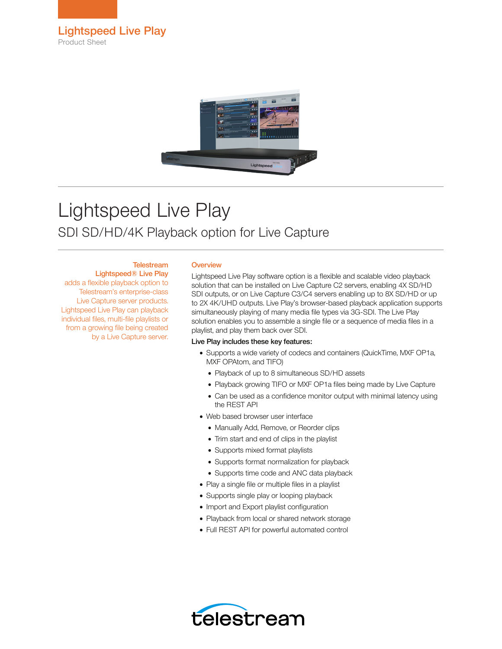



# Lightspeed Live Play SDI SD/HD/4K Playback option for Live Capture

### **Telestream**

Lightspeed® Live Play adds a flexible playback option to Telestream's enterprise-class Live Capture server products. Lightspeed Live Play can playback individual files, multi-file playlists or from a growing file being created by a Live Capture server.

#### **Overview**

Lightspeed Live Play software option is a flexible and scalable video playback solution that can be installed on Live Capture C2 servers, enabling 4X SD/HD SDI outputs, or on Live Capture C3/C4 servers enabling up to 8X SD/HD or up to 2X 4K/UHD outputs. Live Play's browser-based playback application supports simultaneously playing of many media file types via 3G-SDI. The Live Play solution enables you to assemble a single file or a sequence of media files in a playlist, and play them back over SDI.

#### Live Play includes these key features:

- Supports a wide variety of codecs and containers (QuickTime, MXF OP1a, MXF OPAtom, and TIFO)
	- Playback of up to 8 simultaneous SD/HD assets
	- Playback growing TIFO or MXF OP1a files being made by Live Capture
	- Can be used as a confidence monitor output with minimal latency using the REST API
- Web based browser user interface
	- Manually Add, Remove, or Reorder clips
	- Trim start and end of clips in the playlist
	- Supports mixed format playlists
	- Supports format normalization for playback
	- Supports time code and ANC data playback
- Play a single file or multiple files in a playlist
- Supports single play or looping playback
- Import and Export playlist configuration
- Playback from local or shared network storage
- Full REST API for powerful automated control